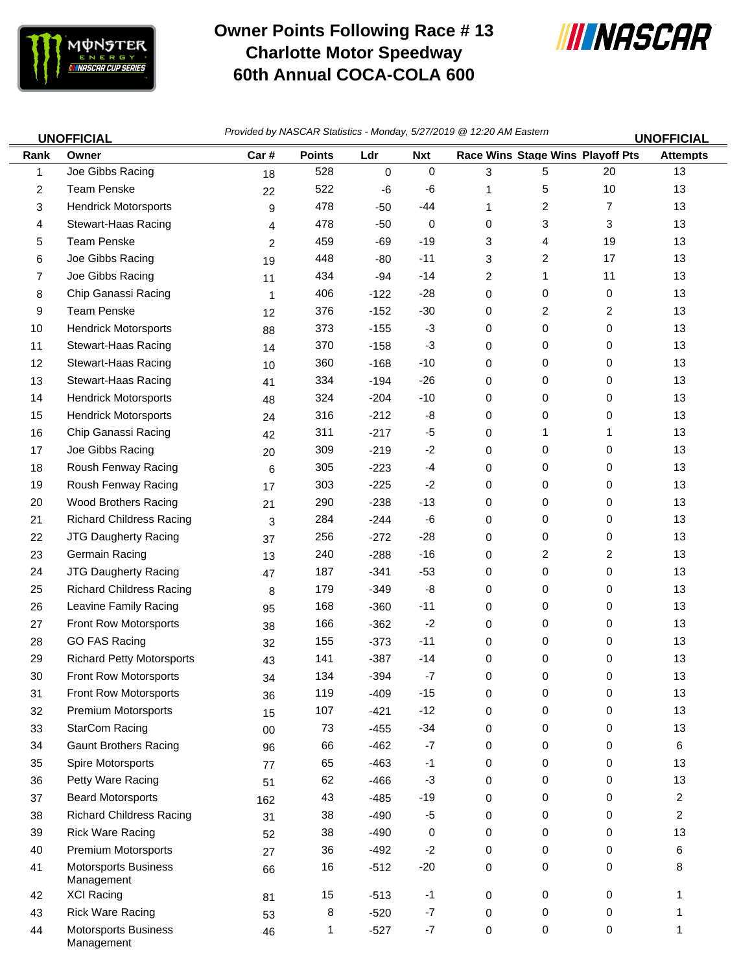

Management

## **Owner Points Following Race # 13 Charlotte Motor Speedway 60th Annual COCA-COLA 600**



| <b>UNOFFICIAL</b> |                                           | Provided by NASCAR Statistics - Monday, 5/27/2019 @ 12:20 AM Eastern |               |        |            |   |                                  |                | <b>UNOFFICIAL</b> |
|-------------------|-------------------------------------------|----------------------------------------------------------------------|---------------|--------|------------|---|----------------------------------|----------------|-------------------|
| Rank              | Owner                                     | Car#                                                                 | <b>Points</b> | Ldr    | <b>Nxt</b> |   | Race Wins Stage Wins Playoff Pts |                | <b>Attempts</b>   |
| 1                 | Joe Gibbs Racing                          | 18                                                                   | 528           | 0      | 0          | 3 | 5                                | 20             | 13                |
| 2                 | <b>Team Penske</b>                        | 22                                                                   | 522           | -6     | -6         | 1 | 5                                | 10             | 13                |
| 3                 | <b>Hendrick Motorsports</b>               | 9                                                                    | 478           | $-50$  | -44        | 1 | 2                                | 7              | 13                |
| 4                 | Stewart-Haas Racing                       | 4                                                                    | 478           | $-50$  | 0          | 0 | 3                                | 3              | 13                |
| 5                 | <b>Team Penske</b>                        | 2                                                                    | 459           | $-69$  | $-19$      | 3 | 4                                | 19             | 13                |
| 6                 | Joe Gibbs Racing                          | 19                                                                   | 448           | $-80$  | $-11$      | 3 | 2                                | 17             | 13                |
| 7                 | Joe Gibbs Racing                          | 11                                                                   | 434           | $-94$  | $-14$      | 2 | 1                                | 11             | 13                |
| 8                 | Chip Ganassi Racing                       | 1                                                                    | 406           | $-122$ | $-28$      | 0 | 0                                | 0              | 13                |
| 9                 | <b>Team Penske</b>                        | 12                                                                   | 376           | $-152$ | $-30$      | 0 | 2                                | $\overline{2}$ | 13                |
| 10                | <b>Hendrick Motorsports</b>               | 88                                                                   | 373           | $-155$ | $-3$       | 0 | 0                                | 0              | 13                |
| 11                | Stewart-Haas Racing                       | 14                                                                   | 370           | $-158$ | $-3$       | 0 | 0                                | 0              | 13                |
| 12                | Stewart-Haas Racing                       | 10                                                                   | 360           | $-168$ | $-10$      | 0 | 0                                | 0              | 13                |
| 13                | Stewart-Haas Racing                       | 41                                                                   | 334           | $-194$ | $-26$      | 0 | 0                                | 0              | 13                |
| 14                | <b>Hendrick Motorsports</b>               | 48                                                                   | 324           | $-204$ | $-10$      | 0 | 0                                | 0              | 13                |
| 15                | <b>Hendrick Motorsports</b>               | 24                                                                   | 316           | $-212$ | -8         | 0 | 0                                | 0              | 13                |
| 16                | Chip Ganassi Racing                       | 42                                                                   | 311           | $-217$ | -5         | 0 | 1                                | 1              | 13                |
| 17                | Joe Gibbs Racing                          | 20                                                                   | 309           | $-219$ | $-2$       | 0 | 0                                | 0              | 13                |
| 18                | Roush Fenway Racing                       | 6                                                                    | 305           | $-223$ | $-4$       | 0 | 0                                | 0              | 13                |
| 19                | Roush Fenway Racing                       | 17                                                                   | 303           | $-225$ | $-2$       | 0 | 0                                | 0              | 13                |
| 20                | Wood Brothers Racing                      | 21                                                                   | 290           | $-238$ | $-13$      | 0 | 0                                | 0              | 13                |
| 21                | <b>Richard Childress Racing</b>           | 3                                                                    | 284           | $-244$ | -6         | 0 | 0                                | 0              | 13                |
| 22                | JTG Daugherty Racing                      | 37                                                                   | 256           | $-272$ | $-28$      | 0 | 0                                | 0              | 13                |
| 23                | Germain Racing                            | 13                                                                   | 240           | $-288$ | $-16$      | 0 | 2                                | 2              | 13                |
| 24                | JTG Daugherty Racing                      | 47                                                                   | 187           | $-341$ | $-53$      | 0 | 0                                | 0              | 13                |
| 25                | <b>Richard Childress Racing</b>           | 8                                                                    | 179           | $-349$ | -8         | 0 | 0                                | 0              | 13                |
| 26                | Leavine Family Racing                     | 95                                                                   | 168           | $-360$ | $-11$      | 0 | 0                                | 0              | 13                |
| 27                | Front Row Motorsports                     | 38                                                                   | 166           | $-362$ | $-2$       | 0 | 0                                | 0              | 13                |
| 28                | <b>GO FAS Racing</b>                      | 32                                                                   | 155           | $-373$ | $-11$      | 0 | 0                                | 0              | 13                |
| 29                | <b>Richard Petty Motorsports</b>          | 43                                                                   | 141           | $-387$ | $-14$      | 0 | 0                                | 0              | 13                |
| 30                | Front Row Motorsports                     | 34                                                                   | 134           | $-394$ | $-7$       | 0 | 0                                | 0              | 13                |
| 31                | Front Row Motorsports                     | 36                                                                   | 119           | $-409$ | $-15$      | 0 | 0                                | 0              | 13                |
| 32                | Premium Motorsports                       | 15                                                                   | 107           | $-421$ | $-12$      | 0 | 0                                | 0              | 13                |
| 33                | <b>StarCom Racing</b>                     | $00\,$                                                               | 73            | $-455$ | $-34$      | 0 | 0                                | 0              | 13                |
| 34                | <b>Gaunt Brothers Racing</b>              | 96                                                                   | 66            | $-462$ | $-7$       | 0 | 0                                | 0              | 6                 |
| 35                | Spire Motorsports                         | 77                                                                   | 65            | $-463$ | $-1$       | 0 | 0                                | 0              | 13                |
| 36                | Petty Ware Racing                         | 51                                                                   | 62            | $-466$ | $-3$       | 0 | 0                                | 0              | 13                |
| 37                | <b>Beard Motorsports</b>                  | 162                                                                  | 43            | $-485$ | $-19$      | 0 | 0                                | 0              | $\overline{2}$    |
| 38                | <b>Richard Childress Racing</b>           | 31                                                                   | 38            | $-490$ | $-5$       | 0 | 0                                | 0              | $\overline{2}$    |
| 39                | <b>Rick Ware Racing</b>                   | 52                                                                   | 38            | $-490$ | 0          | 0 | 0                                | 0              | 13                |
| 40                | Premium Motorsports                       | 27                                                                   | 36            | $-492$ | $-2$       | 0 | 0                                | 0              | 6                 |
| 41                | <b>Motorsports Business</b><br>Management | 66                                                                   | 16            | $-512$ | $-20$      | 0 | 0                                | 0              | 8                 |
| 42                | <b>XCI Racing</b>                         | 81                                                                   | 15            | $-513$ | $-1$       | 0 | 0                                | 0              | 1                 |
| 43                | <b>Rick Ware Racing</b>                   | 53                                                                   | 8             | $-520$ | $-7$       | 0 | 0                                | 0              |                   |
| 44                | <b>Motorsports Business</b>               | 46                                                                   | 1             | $-527$ | $-7$       | 0 | 0                                | 0              | 1                 |